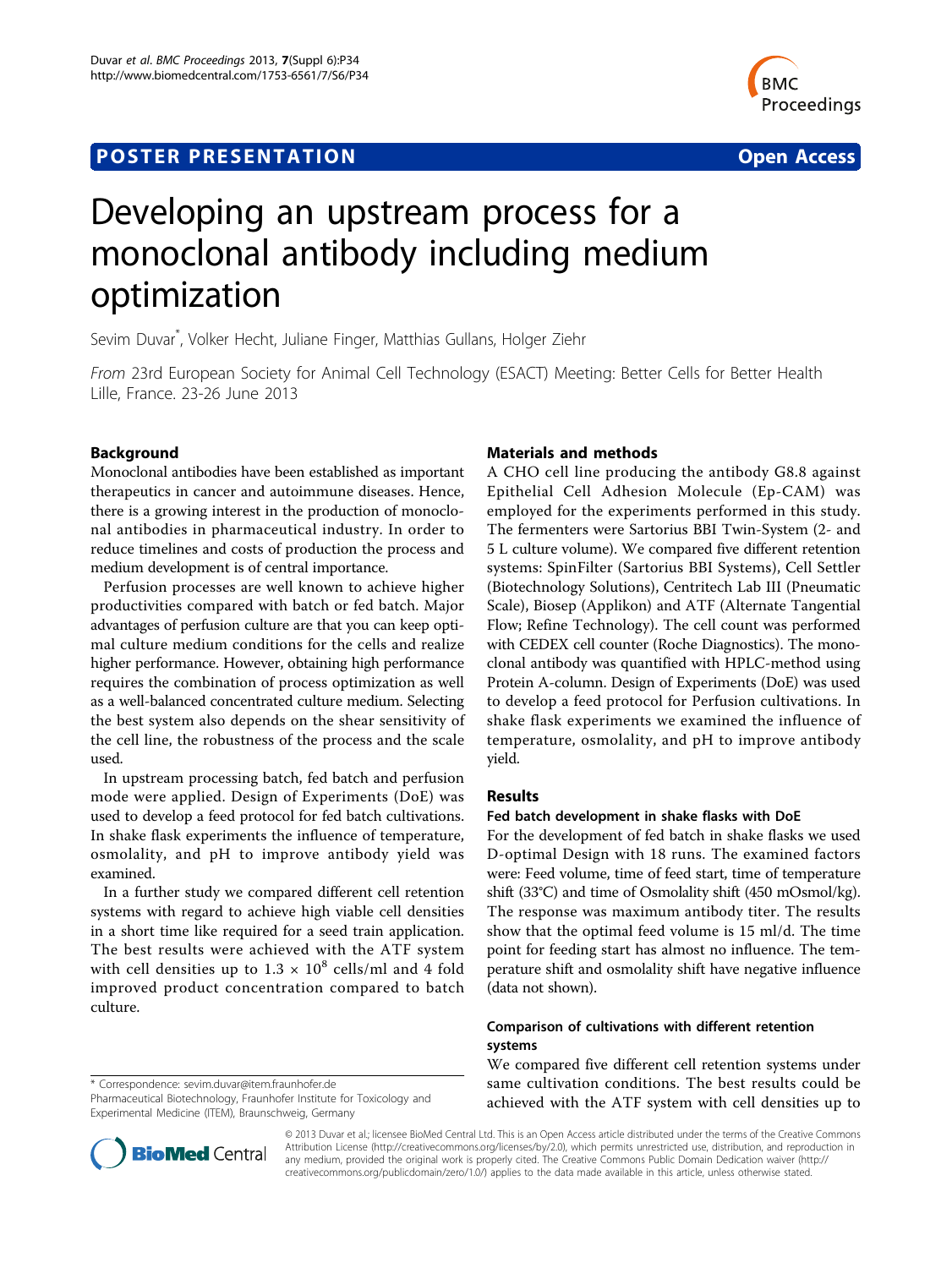# **POSTER PRESENTATION CONSUMING THE SERVICE SERVICE SERVICE SERVICES**



# Developing an upstream process for a monoclonal antibody including medium optimization

Sevim Duvar\* , Volker Hecht, Juliane Finger, Matthias Gullans, Holger Ziehr

From 23rd European Society for Animal Cell Technology (ESACT) Meeting: Better Cells for Better Health Lille, France. 23-26 June 2013

# Background

Monoclonal antibodies have been established as important therapeutics in cancer and autoimmune diseases. Hence, there is a growing interest in the production of monoclonal antibodies in pharmaceutical industry. In order to reduce timelines and costs of production the process and medium development is of central importance.

Perfusion processes are well known to achieve higher productivities compared with batch or fed batch. Major advantages of perfusion culture are that you can keep optimal culture medium conditions for the cells and realize higher performance. However, obtaining high performance requires the combination of process optimization as well as a well-balanced concentrated culture medium. Selecting the best system also depends on the shear sensitivity of the cell line, the robustness of the process and the scale used.

In upstream processing batch, fed batch and perfusion mode were applied. Design of Experiments (DoE) was used to develop a feed protocol for fed batch cultivations. In shake flask experiments the influence of temperature, osmolality, and pH to improve antibody yield was examined.

In a further study we compared different cell retention systems with regard to achieve high viable cell densities in a short time like required for a seed train application. The best results were achieved with the ATF system with cell densities up to  $1.3 \times 10^8$  cells/ml and 4 fold improved product concentration compared to batch culture.

\* Correspondence: [sevim.duvar@item.fraunhofer.de](mailto:sevim.duvar@item.fraunhofer.de)

# Materials and methods

A CHO cell line producing the antibody G8.8 against Epithelial Cell Adhesion Molecule (Ep-CAM) was employed for the experiments performed in this study. The fermenters were Sartorius BBI Twin-System (2- and 5 L culture volume). We compared five different retention systems: SpinFilter (Sartorius BBI Systems), Cell Settler (Biotechnology Solutions), Centritech Lab III (Pneumatic Scale), Biosep (Applikon) and ATF (Alternate Tangential Flow; Refine Technology). The cell count was performed with CEDEX cell counter (Roche Diagnostics). The monoclonal antibody was quantified with HPLC-method using Protein A-column. Design of Experiments (DoE) was used to develop a feed protocol for Perfusion cultivations. In shake flask experiments we examined the influence of temperature, osmolality, and pH to improve antibody yield.

#### Results

#### Fed batch development in shake flasks with DoE

For the development of fed batch in shake flasks we used D-optimal Design with 18 runs. The examined factors were: Feed volume, time of feed start, time of temperature shift (33°C) and time of Osmolality shift (450 mOsmol/kg). The response was maximum antibody titer. The results show that the optimal feed volume is 15 ml/d. The time point for feeding start has almost no influence. The temperature shift and osmolality shift have negative influence (data not shown).

# Comparison of cultivations with different retention systems

We compared five different cell retention systems under same cultivation conditions. The best results could be achieved with the ATF system with cell densities up to



© 2013 Duvar et al.; licensee BioMed Central Ltd. This is an Open Access article distributed under the terms of the Creative Commons Attribution License [\(http://creativecommons.org/licenses/by/2.0](http://creativecommons.org/licenses/by/2.0)), which permits unrestricted use, distribution, and reproduction in any medium, provided the original work is properly cited. The Creative Commons Public Domain Dedication waiver [\(http://](http://creativecommons.org/publicdomain/zero/1.0/) [creativecommons.org/publicdomain/zero/1.0/](http://creativecommons.org/publicdomain/zero/1.0/)) applies to the data made available in this article, unless otherwise stated.

Pharmaceutical Biotechnology, Fraunhofer Institute for Toxicology and Experimental Medicine (ITEM), Braunschweig, Germany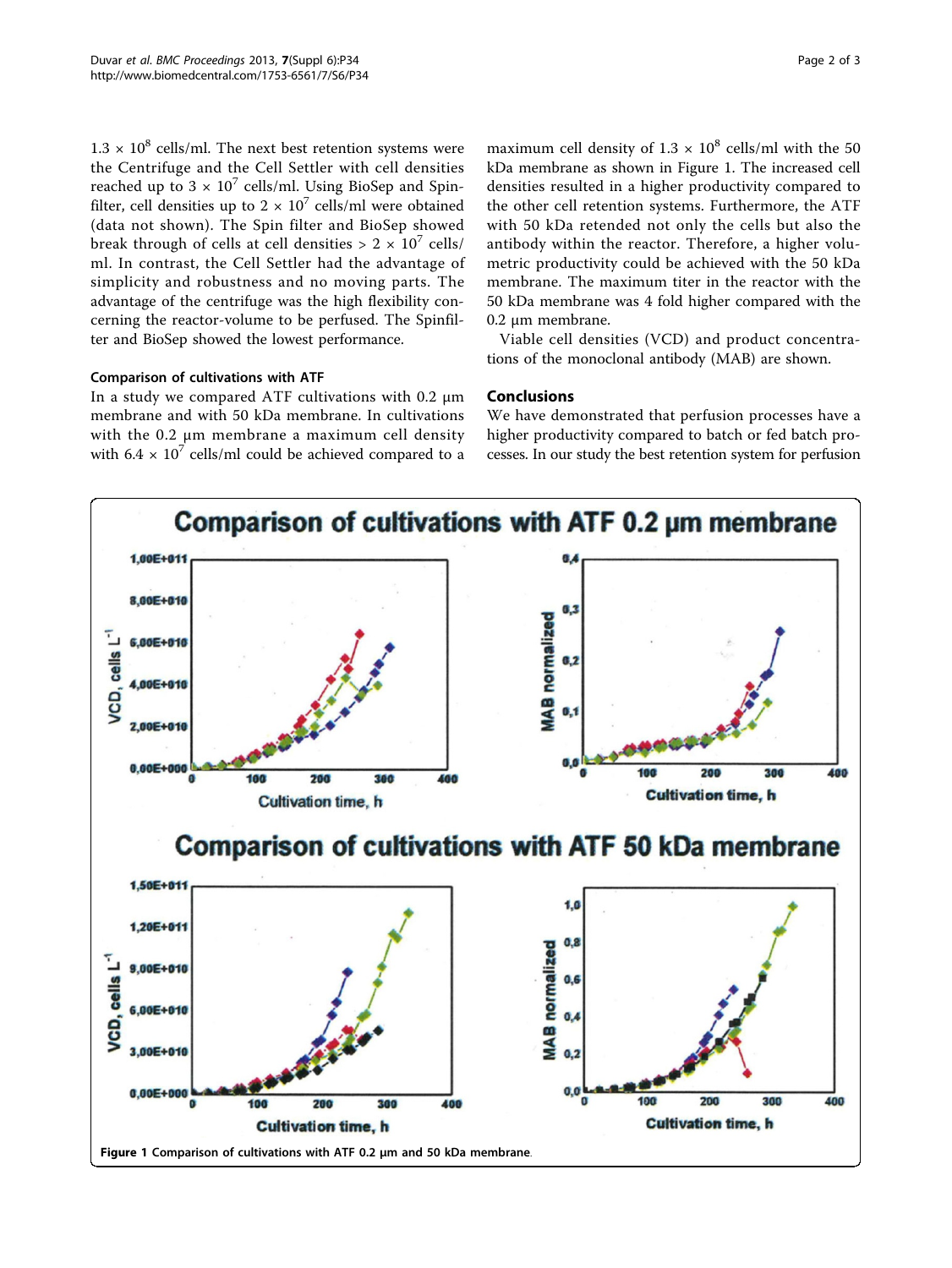$1.3 \times 10^8$  cells/ml. The next best retention systems were the Centrifuge and the Cell Settler with cell densities reached up to  $3 \times 10^7$  cells/ml. Using BioSep and Spinfilter, cell densities up to  $2 \times 10^7$  cells/ml were obtained (data not shown). The Spin filter and BioSep showed break through of cells at cell densities  $> 2 \times 10^7$  cells/ ml. In contrast, the Cell Settler had the advantage of simplicity and robustness and no moving parts. The advantage of the centrifuge was the high flexibility concerning the reactor-volume to be perfused. The Spinfilter and BioSep showed the lowest performance.

#### Comparison of cultivations with ATF

In a study we compared ATF cultivations with 0.2 μm membrane and with 50 kDa membrane. In cultivations with the 0.2 μm membrane a maximum cell density with  $6.4 \times 10^7$  cells/ml could be achieved compared to a

maximum cell density of  $1.3 \times 10^8$  cells/ml with the 50 kDa membrane as shown in Figure 1. The increased cell densities resulted in a higher productivity compared to the other cell retention systems. Furthermore, the ATF with 50 kDa retended not only the cells but also the antibody within the reactor. Therefore, a higher volumetric productivity could be achieved with the 50 kDa membrane. The maximum titer in the reactor with the 50 kDa membrane was 4 fold higher compared with the 0.2 μm membrane.

Viable cell densities (VCD) and product concentrations of the monoclonal antibody (MAB) are shown.

#### **Conclusions**

We have demonstrated that perfusion processes have a higher productivity compared to batch or fed batch processes. In our study the best retention system for perfusion